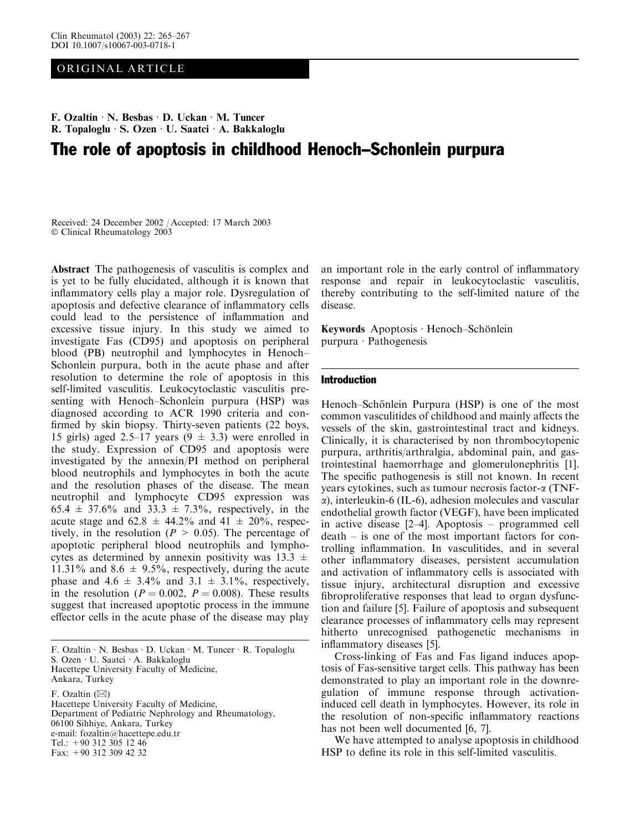# ORIGINAL ARTICLE

# F. Ozaltin  $\cdot$  N. Besbas  $\cdot$  D. Uckan  $\cdot$  M. Tuncer R. Topaloglu · S. Ozen · U. Saatci · A. Bakkaloglu The role of apoptosis in childhood Henoch–Schonlein purpura

Received: 24 December 2002 / Accepted: 17 March 2003 Clinical Rheumatology 2003

Abstract The pathogenesis of vasculitis is complex and is yet to be fully elucidated, although it is known that inflammatory cells play a major role. Dysregulation of apoptosis and defective clearance of inflammatory cells could lead to the persistence of inflammation and excessive tissue injury. In this study we aimed to investigate Fas (CD95) and apoptosis on peripheral blood (PB) neutrophil and lymphocytes in Henoch– Schonlein purpura, both in the acute phase and after resolution to determine the role of apoptosis in this self-limited vasculitis. Leukocytoclastic vasculitis presenting with Henoch–Schonlein purpura (HSP) was diagnosed according to ACR 1990 criteria and confirmed by skin biopsy. Thirty-seven patients (22 boys, 15 girls) aged 2.5–17 years  $(9 \pm 3.3)$  were enrolled in the study. Expression of CD95 and apoptosis were investigated by the annexin/PI method on peripheral blood neutrophils and lymphocytes in both the acute and the resolution phases of the disease. The mean neutrophil and lymphocyte CD95 expression was 65.4  $\pm$  37.6% and 33.3  $\pm$  7.3%, respectively, in the acute stage and  $62.8 \pm 44.2\%$  and  $41 \pm 20\%$ , respectively, in the resolution ( $P > 0.05$ ). The percentage of apoptotic peripheral blood neutrophils and lymphocytes as determined by annexin positivity was  $13.3 \pm$ 11.31% and 8.6  $\pm$  9.5%, respectively, during the acute phase and  $4.6 \pm 3.4\%$  and  $3.1 \pm 3.1\%$ , respectively, in the resolution ( $P = 0.002$ ,  $P = 0.008$ ). These results suggest that increased apoptotic process in the immune effector cells in the acute phase of the disease may play

F. Ozaltin · N. Besbas · D. Uckan · M. Tuncer · R. Topaloglu S. Ozen · U. Saatci · A. Bakkaloglu Hacettepe University Faculty of Medicine, Ankara, Turkey

F. Ozaltin  $(\boxtimes)$ 

Hacettepe University Faculty of Medicine, Department of Pediatric Nephrology and Rheumatology, 06100 Sihhiye, Ankara, Turkey e-mail: fozaltin@hacettepe.edu.tr Tel.:  $+90$  312 305 12 46 Fax: +90 312 309 42 32

an important role in the early control of inflammatory response and repair in leukocytoclastic vasculitis, thereby contributing to the self-limited nature of the disease.

Keywords Apoptosis  $\cdot$  Henoch–Schönlein purpura · Pathogenesis

# Introduction

Henoch–Schönlein Purpura (HSP) is one of the most common vasculitides of childhood and mainly affects the vessels of the skin, gastrointestinal tract and kidneys. Clinically, it is characterised by non thrombocytopenic purpura, arthritis/arthralgia, abdominal pain, and gastrointestinal haemorrhage and glomerulonephritis [1]. The specific pathogenesis is still not known. In recent years cytokines, such as tumour necrosis factor-a (TNFa), interleukin-6 (IL-6), adhesion molecules and vascular endothelial growth factor (VEGF), have been implicated in active disease [2–4]. Apoptosis – programmed cell death – is one of the most important factors for controlling inflammation. In vasculitides, and in several other inflammatory diseases, persistent accumulation and activation of inflammatory cells is associated with tissue injury, architectural disruption and excessive fibroproliferative responses that lead to organ dysfunction and failure [5]. Failure of apoptosis and subsequent clearance processes of inflammatory cells may represent hitherto unrecognised pathogenetic mechanisms in inflammatory diseases [5].

Cross-linking of Fas and Fas ligand induces apoptosis of Fas-sensitive target cells. This pathway has been demonstrated to play an important role in the downregulation of immune response through activationinduced cell death in lymphocytes. However, its role in the resolution of non-specific inflammatory reactions has not been well documented [6, 7].

We have attempted to analyse apoptosis in childhood HSP to define its role in this self-limited vasculitis.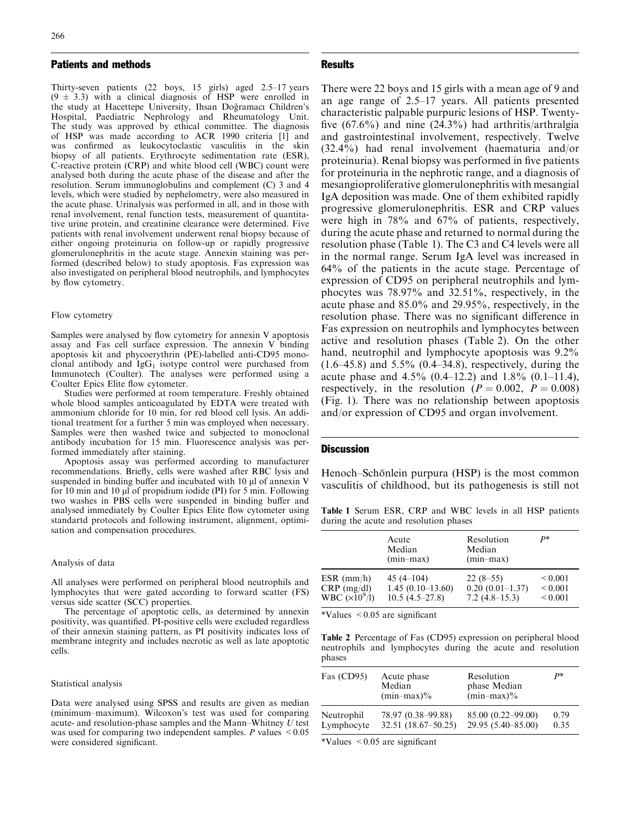# Patients and methods

Thirty-seven patients (22 boys, 15 girls) aged 2.5–17 years  $(9 \pm 3.3)$  with a clinical diagnosis of HSP were enrolled in the study at Hacettepe University, Ihsan Doğramacı Children's Hospital, Paediatric Nephrology and Rheumatology Unit. The study was approved by ethical committee. The diagnosis of HSP was made according to ACR 1990 criteria [1] and was confirmed as leukocytoclastic vasculitis in the skin biopsy of all patients. Erythrocyte sedimentation rate (ESR), C-reactive protein (CRP) and white blood cell (WBC) count were analysed both during the acute phase of the disease and after the resolution. Serum immunoglobulins and complement (C) 3 and 4 levels, which were studied by nephelometry, were also measured in the acute phase. Urinalysis was performed in all, and in those with renal involvement, renal function tests, measurement of quantitative urine protein, and creatinine clearance were determined. Five patients with renal involvement underwent renal biopsy because of either ongoing proteinuria on follow-up or rapidly progressive glomerulonephritis in the acute stage. Annexin staining was performed (described below) to study apoptosis. Fas expression was also investigated on peripheral blood neutrophils, and lymphocytes by flow cytometry.

### Flow cytometry

Samples were analysed by flow cytometry for annexin V apoptosis assay and Fas cell surface expression. The annexin V binding apoptosis kit and phycoerythrin (PE)-labelled anti-CD95 monoclonal antibody and  $IgG_1$  isotype control were purchased from Immunotech (Coulter). The analyses were performed using a Coulter Epics Elite flow cytometer.

Studies were performed at room temperature. Freshly obtained whole blood samples anticoagulated by EDTA were treated with ammonium chloride for 10 min, for red blood cell lysis. An additional treatment for a further 5 min was employed when necessary. Samples were then washed twice and subjected to monoclonal antibody incubation for 15 min. Fluorescence analysis was performed immediately after staining.

Apoptosis assay was performed according to manufacturer recommendations. Briefly, cells were washed after RBC lysis and suspended in binding buffer and incubated with 10  $\mu$ l of annexin V for 10 min and 10  $\mu$  of propidium iodide (PI) for 5 min. Following two washes in PBS cells were suspended in binding buffer and analysed immediately by Coulter Epics Elite flow cytometer using standartd protocols and following instrument, alignment, optimisation and compensation procedures.

#### Analysis of data

All analyses were performed on peripheral blood neutrophils and lymphocytes that were gated according to forward scatter (FS) versus side scatter (SCC) properties.

The percentage of apoptotic cells, as determined by annexin positivity, was quantified. PI-positive cells were excluded regardless of their annexin staining pattern, as PI positivity indicates loss of membrane integrity and includes necrotic as well as late apoptotic cells.

#### Statistical analysis

Data were analysed using SPSS and results are given as median (minimum–maximum). Wilcoxon's test was used for comparing acute- and resolution-phase samples and the Mann–Whitney U test was used for comparing two independent samples.  $P$  values  $\leq 0.05$ were considered significant.

# Results

There were 22 boys and 15 girls with a mean age of 9 and an age range of 2.5–17 years. All patients presented characteristic palpable purpuric lesions of HSP. Twentyfive (67.6%) and nine (24.3%) had arthritis/arthralgia and gastrointestinal involvement, respectively. Twelve (32.4%) had renal involvement (haematuria and/or proteinuria). Renal biopsy was performed in five patients for proteinuria in the nephrotic range, and a diagnosis of mesangioproliferative glomerulonephritis with mesangial IgA deposition was made. One of them exhibited rapidly progressive glomerulonephritis. ESR and CRP values were high in 78% and 67% of patients, respectively, during the acute phase and returned to normal during the resolution phase (Table 1). The C3 and C4 levels were all in the normal range. Serum IgA level was increased in 64% of the patients in the acute stage. Percentage of expression of CD95 on peripheral neutrophils and lymphocytes was 78.97% and 32.51%, respectively, in the acute phase and 85.0% and 29.95%, respectively, in the resolution phase. There was no significant difference in Fas expression on neutrophils and lymphocytes between active and resolution phases (Table 2). On the other hand, neutrophil and lymphocyte apoptosis was 9.2%  $(1.6–45.8)$  and  $5.5\%$   $(0.4–34.8)$ , respectively, during the acute phase and  $4.5\%$  (0.4–12.2) and 1.8% (0.1–11.4), respectively, in the resolution ( $P = 0.002$ ,  $P = 0.008$ ) (Fig. 1). There was no relationship between apoptosis and/or expression of CD95 and organ involvement.

## **Discussion**

Henoch–Schönlein purpura (HSP) is the most common vasculitis of childhood, but its pathogenesis is still not

Table 1 Serum ESR, CRP and WBC levels in all HSP patients during the acute and resolution phases

|                                                      | Acute<br>Median<br>$(min-max)$                         | Resolution<br>Median<br>$(min-max)$                | $P*$                                         |
|------------------------------------------------------|--------------------------------------------------------|----------------------------------------------------|----------------------------------------------|
| $ESR$ (mm/h)<br>CRP (mg/dl)<br>WBC $(\times 10^9/l)$ | 45 $(4-104)$<br>$1.45(0.10-13.60)$<br>$10.5(4.5-27.8)$ | $22(8-55)$<br>$0.20(0.01-1.37)$<br>$7.2(4.8-15.3)$ | ${}_{0.001}$<br>${}_{0.001}$<br>${}_{0.001}$ |

 $*$ Values  $< 0.05$  are significant

Table 2 Percentage of Fas (CD95) expression on peripheral blood neutrophils and lymphocytes during the acute and resolution phases

| Fas $(CD95)$ | Acute phase<br>Median<br>$(min-max)$ % | Resolution<br>phase Median<br>$(min-max)\%$ | P*   |
|--------------|----------------------------------------|---------------------------------------------|------|
| Neutrophil   | 78.97 (0.38–99.88)                     | 85.00 (0.22–99.00)                          | 0.79 |
| Lymphocyte   | 32.51 (18.67-50.25)                    | $29.95(5.40 - 85.00)$                       | 0.35 |

\*Values <0.05 are significant